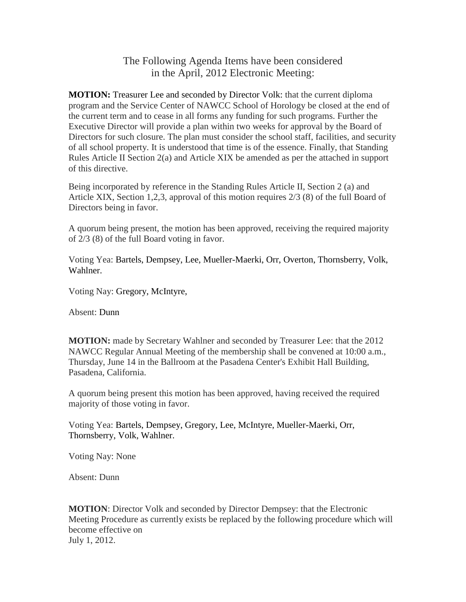## The Following Agenda Items have been considered in the April, 2012 Electronic Meeting:

**MOTION:** Treasurer Lee and seconded by Director Volk: that the current diploma program and the Service Center of NAWCC School of Horology be closed at the end of the current term and to cease in all forms any funding for such programs. Further the Executive Director will provide a plan within two weeks for approval by the Board of Directors for such closure. The plan must consider the school staff, facilities, and security of all school property. It is understood that time is of the essence. Finally, that Standing Rules Article II Section 2(a) and Article XIX be amended as per the attached in support of this directive.

Being incorporated by reference in the Standing Rules Article II, Section 2 (a) and Article XIX, Section 1,2,3, approval of this motion requires 2/3 (8) of the full Board of Directors being in favor.

A quorum being present, the motion has been approved, receiving the required majority of 2/3 (8) of the full Board voting in favor.

Voting Yea: Bartels, Dempsey, Lee, Mueller-Maerki, Orr, Overton, Thornsberry, Volk, Wahlner.

Voting Nay: Gregory, McIntyre,

Absent: Dunn

**MOTION:** made by Secretary Wahlner and seconded by Treasurer Lee: that the 2012 NAWCC Regular Annual Meeting of the membership shall be convened at 10:00 a.m., Thursday, June 14 in the Ballroom at the Pasadena Center's Exhibit Hall Building, Pasadena, California.

A quorum being present this motion has been approved, having received the required majority of those voting in favor.

Voting Yea: Bartels, Dempsey, Gregory, Lee, McIntyre, Mueller-Maerki, Orr, Thornsberry, Volk, Wahlner.

Voting Nay: None

Absent: Dunn

**MOTION**: Director Volk and seconded by Director Dempsey: that the Electronic Meeting Procedure as currently exists be replaced by the following procedure which will become effective on July 1, 2012.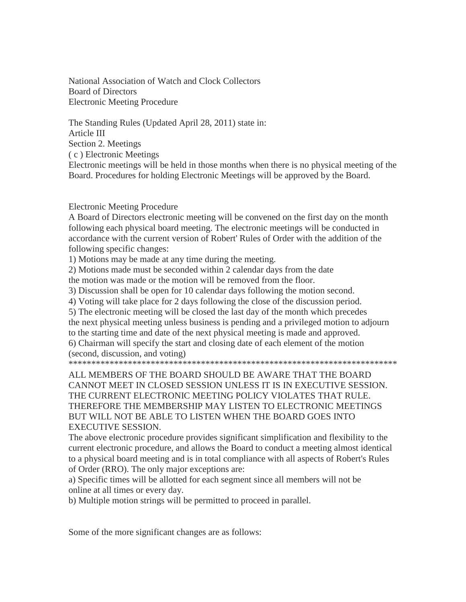National Association of Watch and Clock Collectors Board of Directors Electronic Meeting Procedure

The Standing Rules (Updated April 28, 2011) state in: Article III Section 2. Meetings ( c ) Electronic Meetings Electronic meetings will be held in those months when there is no physical meeting of the Board. Procedures for holding Electronic Meetings will be approved by the Board.

## Electronic Meeting Procedure

A Board of Directors electronic meeting will be convened on the first day on the month following each physical board meeting. The electronic meetings will be conducted in accordance with the current version of Robert' Rules of Order with the addition of the following specific changes:

1) Motions may be made at any time during the meeting.

2) Motions made must be seconded within 2 calendar days from the date the motion was made or the motion will be removed from the floor.

3) Discussion shall be open for 10 calendar days following the motion second.

4) Voting will take place for 2 days following the close of the discussion period.

5) The electronic meeting will be closed the last day of the month which precedes the next physical meeting unless business is pending and a privileged motion to adjourn to the starting time and date of the next physical meeting is made and approved.

6) Chairman will specify the start and closing date of each element of the motion (second, discussion, and voting)

\*\*\*\*\*\*\*\*\*\*\*\*\*\*\*\*\*\*\*\*\*\*\*\*\*\*\*\*\*\*\*\*\*\*\*\*\*\*\*\*\*\*\*\*\*\*\*\*\*\*\*\*\*\*\*\*\*\*\*\*\*\*\*\*\*\*\*\*\*\*\*\*

ALL MEMBERS OF THE BOARD SHOULD BE AWARE THAT THE BOARD CANNOT MEET IN CLOSED SESSION UNLESS IT IS IN EXECUTIVE SESSION. THE CURRENT ELECTRONIC MEETING POLICY VIOLATES THAT RULE. THEREFORE THE MEMBERSHIP MAY LISTEN TO ELECTRONIC MEETINGS BUT WILL NOT BE ABLE TO LISTEN WHEN THE BOARD GOES INTO EXECUTIVE SESSION.

The above electronic procedure provides significant simplification and flexibility to the current electronic procedure, and allows the Board to conduct a meeting almost identical to a physical board meeting and is in total compliance with all aspects of Robert's Rules of Order (RRO). The only major exceptions are:

a) Specific times will be allotted for each segment since all members will not be online at all times or every day.

b) Multiple motion strings will be permitted to proceed in parallel.

Some of the more significant changes are as follows: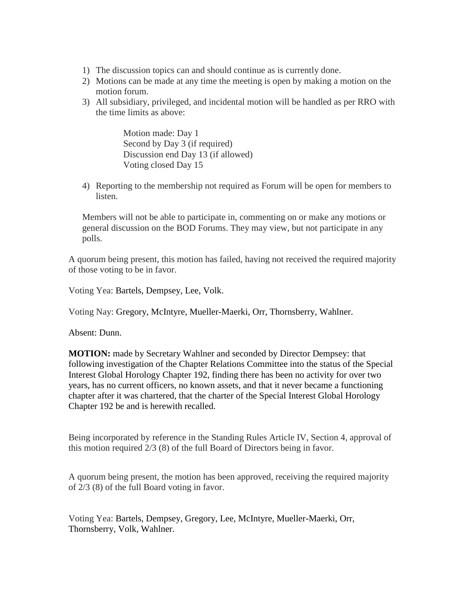- 1) The discussion topics can and should continue as is currently done.
- 2) Motions can be made at any time the meeting is open by making a motion on the motion forum.
- 3) All subsidiary, privileged, and incidental motion will be handled as per RRO with the time limits as above:

Motion made: Day 1 Second by Day 3 (if required) Discussion end Day 13 (if allowed) Voting closed Day 15

4) Reporting to the membership not required as Forum will be open for members to listen.

Members will not be able to participate in, commenting on or make any motions or general discussion on the BOD Forums. They may view, but not participate in any polls.

A quorum being present, this motion has failed, having not received the required majority of those voting to be in favor.

Voting Yea: Bartels, Dempsey, Lee, Volk.

Voting Nay: Gregory, McIntyre, Mueller-Maerki, Orr, Thornsberry, Wahlner.

Absent: Dunn.

**MOTION:** made by Secretary Wahlner and seconded by Director Dempsey: that following investigation of the Chapter Relations Committee into the status of the Special Interest Global Horology Chapter 192, finding there has been no activity for over two years, has no current officers, no known assets, and that it never became a functioning chapter after it was chartered, that the charter of the Special Interest Global Horology Chapter 192 be and is herewith recalled.

Being incorporated by reference in the Standing Rules Article IV, Section 4, approval of this motion required 2/3 (8) of the full Board of Directors being in favor.

A quorum being present, the motion has been approved, receiving the required majority of 2/3 (8) of the full Board voting in favor.

Voting Yea: Bartels, Dempsey, Gregory, Lee, McIntyre, Mueller-Maerki, Orr, Thornsberry, Volk, Wahlner.